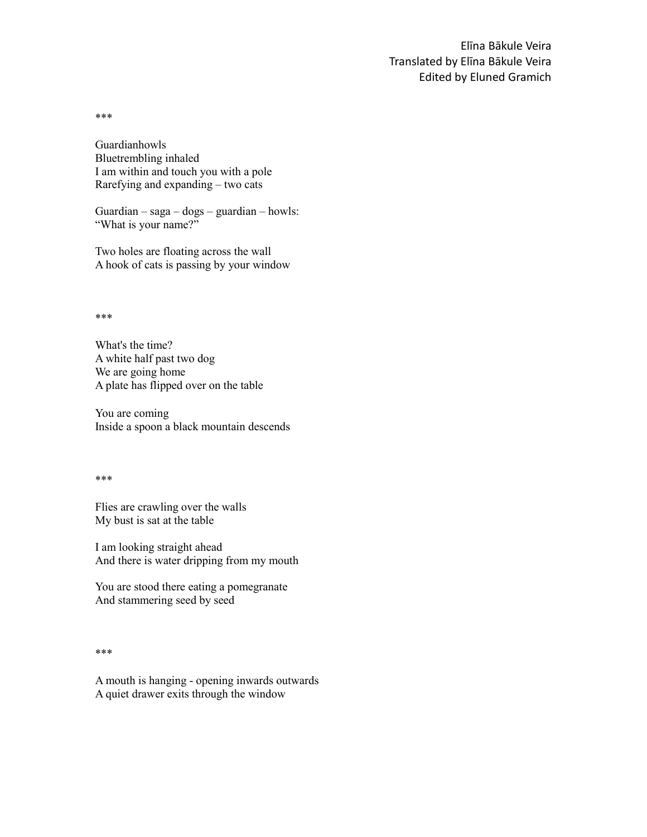\*\*\*

Guardianhowls Bluetrembling inhaled I am within and touch you with a pole Rarefying and expanding – two cats

Guardian – saga – dogs – guardian – howls: "What is your name?"

Two holes are floating across the wall A hook of cats is passing by your window

\*\*\*

What's the time? A white half past two dog We are going home A plate has flipped over on the table

You are coming Inside a spoon a black mountain descends

\*\*\*

Flies are crawling over the walls My bust is sat at the table

I am looking straight ahead And there is water dripping from my mouth

You are stood there eating a pomegranate And stammering seed by seed

## \*\*\*

A mouth is hanging - opening inwards outwards A quiet drawer exits through the window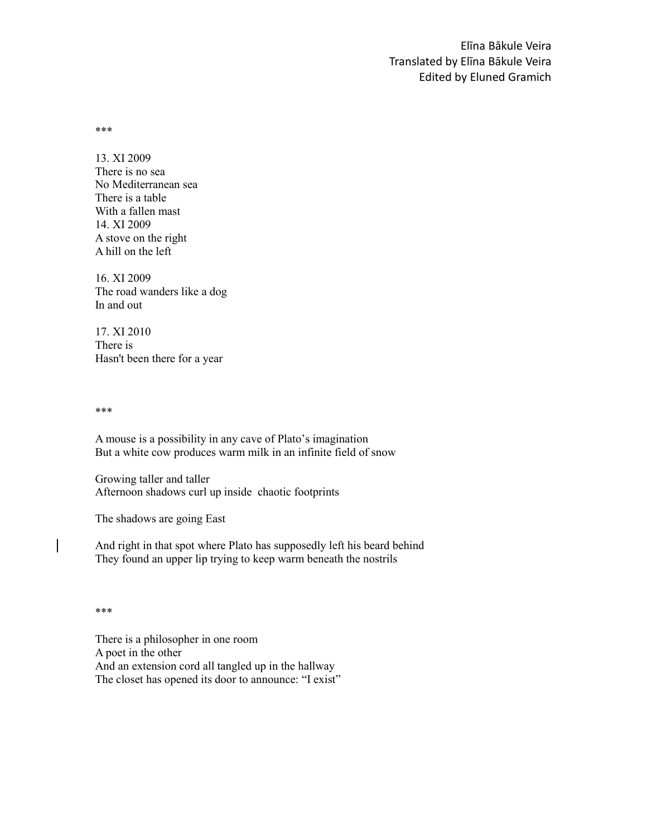\*\*\*

13. XI 2009 There is no sea No Mediterranean sea There is a table With a fallen mast 14. XI 2009 A stove on the right A hill on the left

16. XI 2009 The road wanders like a dog In and out

17. XI 2010 There is Hasn't been there for a year

\*\*\*

A mouse is a possibility in any cave of Plato's imagination But a white cow produces warm milk in an infinite field of snow

Growing taller and taller Afternoon shadows curl up inside chaotic footprints

The shadows are going East

And right in that spot where Plato has supposedly left his beard behind They found an upper lip trying to keep warm beneath the nostrils

\*\*\*

There is a philosopher in one room A poet in the other And an extension cord all tangled up in the hallway The closet has opened its door to announce: "I exist"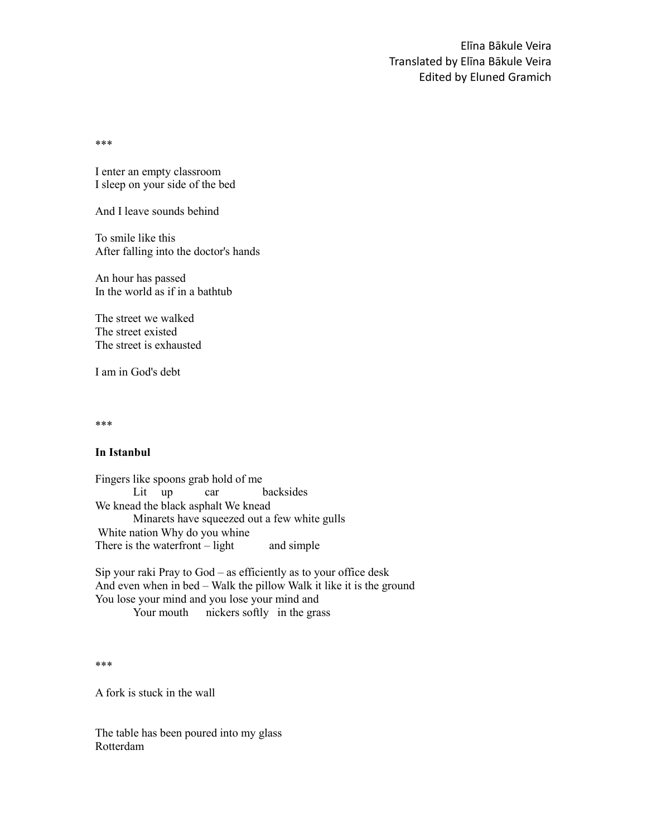\*\*\*

I enter an empty classroom I sleep on your side of the bed

And I leave sounds behind

To smile like this After falling into the doctor's hands

An hour has passed In the world as if in a bathtub

The street we walked The street existed The street is exhausted

I am in God's debt

\*\*\*

## **In Istanbul**

Fingers like spoons grab hold of me Lit up car backsides We knead the black asphalt We knead Minarets have squeezed out a few white gulls White nation Why do you whine There is the waterfront  $-$  light and simple

Sip your raki Pray to God – as efficiently as to your office desk And even when in bed – Walk the pillow Walk it like it is the ground You lose your mind and you lose your mind and Your mouth nickers softly in the grass

\*\*\*

A fork is stuck in the wall

The table has been poured into my glass Rotterdam